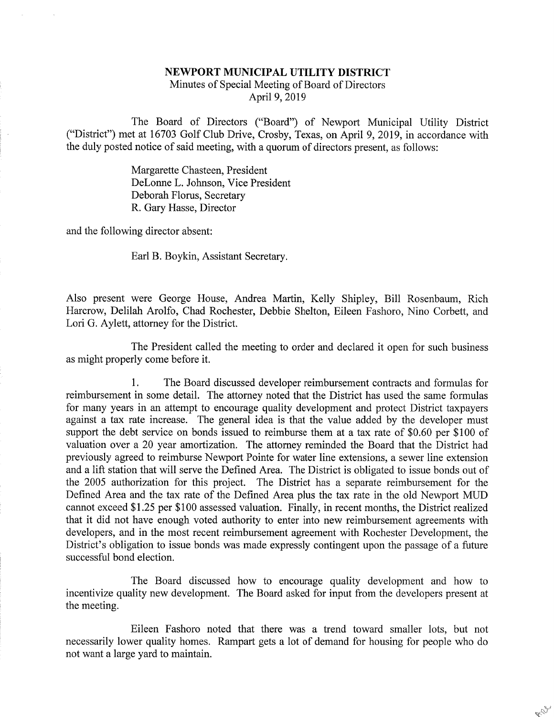## NEWPORT MUNICIPAL UTILITY DISTRICT

Minutes of Special Meeting of Board of Directors April 9,2019

The Board of Directors ("Board") of Newport Municipal Utility District ("District") met at 16703 Golf Club Drive, Crosby, Texas, on April 9, 2019, in accordance with the duly posted notice of said meeting, with a quorum of directors present, as follows:

> Margarette Chasteen, President DeLorme L. Johnson, Vice President Deborah Florus, Secretary R. Gary Hasse, Director

and the following director absent:

Earl B. Boykin, Assistant Secretary.

Also present were George House, Andrea Martin, Kelly Shipley, Bill Rosenbaum, Rich Harcrow, Delilah Arolfo, Chad Rochester, Debbie Shelton, Eileen Fashoro, Nino Corbett, and Lori G. Aylett, attorney for the District.

The President called the meeting to order and declared it open for such business as might properly come before it.

1. The Board discussed developer reimbursement contracts and formulas for reimbursement in some detail. The attorney noted that the District has used the same formulas for many years in an attempt to encourage quality development and protect District taxpayers against a tax rate increase. The general idea is that the value added by the developer must support the debt service on bonds issued to reimburse them at a tax rate of \$0.60 per \$100 of valuation over a 20 year amortization. The attorney reminded the Board that the District had previously agreed to reimburse Newport Pointe for water line extensions, a sewer line extension and a lift station that will serve the Defined Area. The District is obligated to issue bonds out of the 2005 authorization for this project. The District has a separate reimbursement for the Defined Area and the tax rate of the Defined Area plus the tax rate in the old Newport MUD cannot exceed \$1.25 per \$100 assessed valuation. Finally, in recent months, the District realized that it did not have enough voted authority to enter into new reimbursement agreements with developers, and in the most recent reimbursement agreement with Rochester Development, the District's obligation to issue bonds was made expressly contingent upon the passage of a future successful bond election.

The Board discussed how to encourage quality development and how to incentivize quality new development. The Board asked for input from the developers present at the meeting.

Eileen Fashoro noted that there was a trend toward smaller lots, but not necessarily lower quality homes. Rampart gets a lot of demand for housing for people who do not want a large yard to maintain.

RE